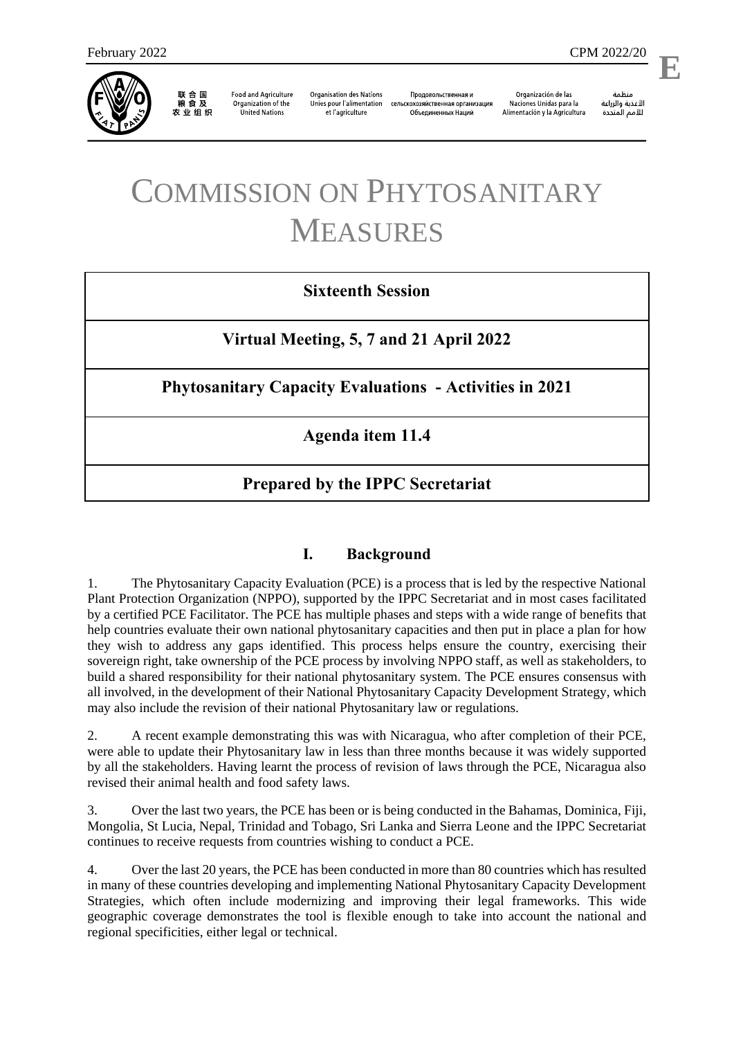

联合国<br>粮食及 农业组织

**Food and Agriculture** Organization of the **United Nations** 

**Organisation des Nations** Unies pour l'alimentation et l'agriculture

Продовольственная и сельскохозяйственная организация Объелиненных Наций

Organización de las Naciones Unidas para la Alimentación y la Agricultura

منظمة الأغذية والزراعة للأمم المتحدة **E**

l,

# COMMISSION ON PHYTOSANITARY MEASURES

## **Sixteenth Session**

**Virtual Meeting, 5, 7 and 21 April 2022**

**Phytosanitary Capacity Evaluations - Activities in 2021**

**Agenda item 11.4**

## **Prepared by the IPPC Secretariat**

### **I. Background**

1. The Phytosanitary Capacity Evaluation (PCE) is a process that is led by the respective National Plant Protection Organization (NPPO), supported by the IPPC Secretariat and in most cases facilitated by a certified PCE Facilitator. The PCE has multiple phases and steps with a wide range of benefits that help countries evaluate their own national phytosanitary capacities and then put in place a plan for how they wish to address any gaps identified. This process helps ensure the country, exercising their sovereign right, take ownership of the PCE process by involving NPPO staff, as well as stakeholders, to build a shared responsibility for their national phytosanitary system. The PCE ensures consensus with all involved, in the development of their National Phytosanitary Capacity Development Strategy, which may also include the revision of their national Phytosanitary law or regulations.

2. A recent example demonstrating this was with Nicaragua, who after completion of their PCE, were able to update their Phytosanitary law in less than three months because it was widely supported by all the stakeholders. Having learnt the process of revision of laws through the PCE, Nicaragua also revised their animal health and food safety laws.

3. Over the last two years, the PCE has been or is being conducted in the Bahamas, Dominica, Fiji, Mongolia, St Lucia, Nepal, Trinidad and Tobago, Sri Lanka and Sierra Leone and the IPPC Secretariat continues to receive requests from countries wishing to conduct a PCE.

4. Over the last 20 years, the PCE has been conducted in more than 80 countries which has resulted in many of these countries developing and implementing National Phytosanitary Capacity Development Strategies, which often include modernizing and improving their legal frameworks. This wide geographic coverage demonstrates the tool is flexible enough to take into account the national and regional specificities, either legal or technical.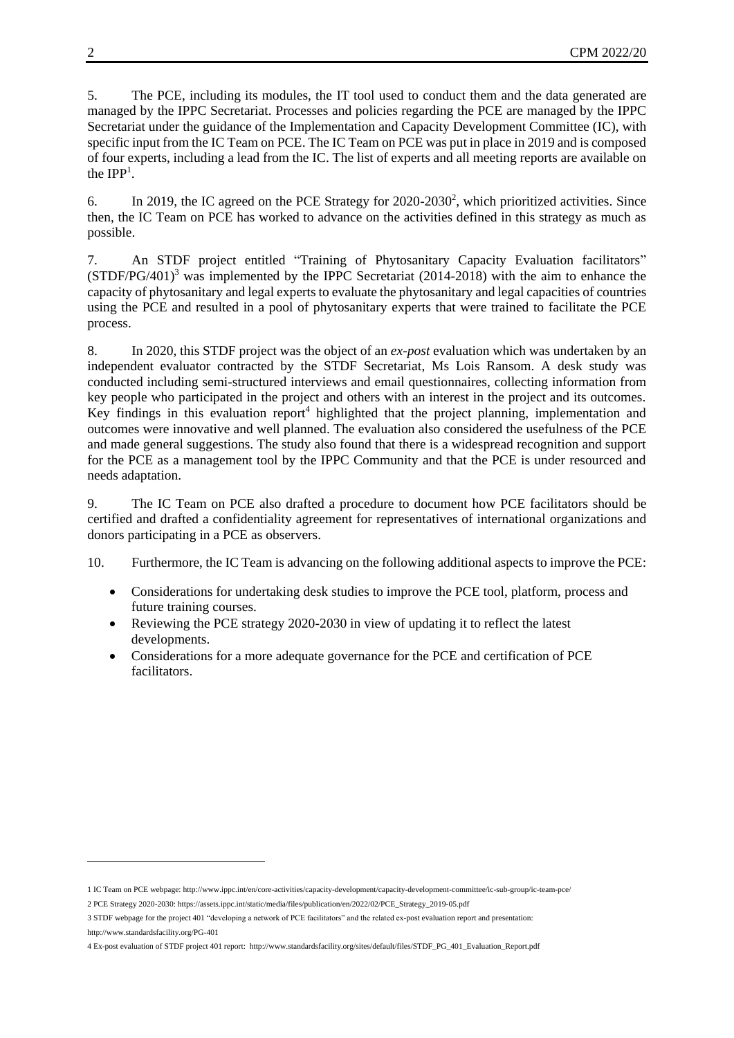5. The PCE, including its modules, the IT tool used to conduct them and the data generated are managed by the IPPC Secretariat. Processes and policies regarding the PCE are managed by the IPPC Secretariat under the guidance of the Implementation and Capacity Development Committee (IC), with specific input from the IC Team on PCE. The IC Team on PCE was put in place in 2019 and is composed of four experts, including a lead from the IC. The list of experts and all meeting reports are available on the  $IPP<sup>1</sup>$ .

6. In 2019, the IC agreed on the PCE Strategy for  $2020-2030^2$ , which prioritized activities. Since then, the IC Team on PCE has worked to advance on the activities defined in this strategy as much as possible.

7. An STDF project entitled "Training of Phytosanitary Capacity Evaluation facilitators"  $(STDF/PG/401)^3$  was implemented by the IPPC Secretariat (2014-2018) with the aim to enhance the capacity of phytosanitary and legal experts to evaluate the phytosanitary and legal capacities of countries using the PCE and resulted in a pool of phytosanitary experts that were trained to facilitate the PCE process.

8. In 2020, this STDF project was the object of an *ex-post* evaluation which was undertaken by an independent evaluator contracted by the STDF Secretariat, Ms Lois Ransom. A desk study was conducted including semi-structured interviews and email questionnaires, collecting information from key people who participated in the project and others with an interest in the project and its outcomes. Key findings in this evaluation report<sup>4</sup> highlighted that the project planning, implementation and outcomes were innovative and well planned. The evaluation also considered the usefulness of the PCE and made general suggestions. The study also found that there is a widespread recognition and support for the PCE as a management tool by the IPPC Community and that the PCE is under resourced and needs adaptation.

9. The IC Team on PCE also drafted a procedure to document how PCE facilitators should be certified and drafted a confidentiality agreement for representatives of international organizations and donors participating in a PCE as observers.

10. Furthermore, the IC Team is advancing on the following additional aspects to improve the PCE:

- Considerations for undertaking desk studies to improve the PCE tool, platform, process and future training courses.
- Reviewing the PCE strategy 2020-2030 in view of updating it to reflect the latest developments.
- Considerations for a more adequate governance for the PCE and certification of PCE facilitators.

-

<sup>1</sup> IC Team on PCE webpage[: http://www.ippc.int/en/core-activities/capacity-development/capacity-development-committee/ic-sub-group/ic-team-pce/](https://www.ippc.int/en/core-activities/capacity-development/capacity-development-committee/ic-sub-group/ic-team-pce/)

<sup>2</sup> PCE Strategy 2020-2030: [https://assets.ippc.int/static/media/files/publication/en/2022/02/PCE\\_Strategy\\_2019-05.pdf](https://assets.ippc.int/static/media/files/publication/en/2022/02/PCE_Strategy_2019-05.pdf)

<sup>3</sup> STDF webpage for the project 401 "developing a network of PCE facilitators" and the related ex-post evaluation report and presentation: <http://www.standardsfacility.org/PG-401>

<sup>4</sup> Ex-post evaluation of STDF project 401 report: [http://www.standardsfacility.org/sites/default/files/STDF\\_PG\\_401\\_Evaluation\\_Report.pdf](http://www.standardsfacility.org/sites/default/files/STDF_PG_401_Evaluation_Report.pdf)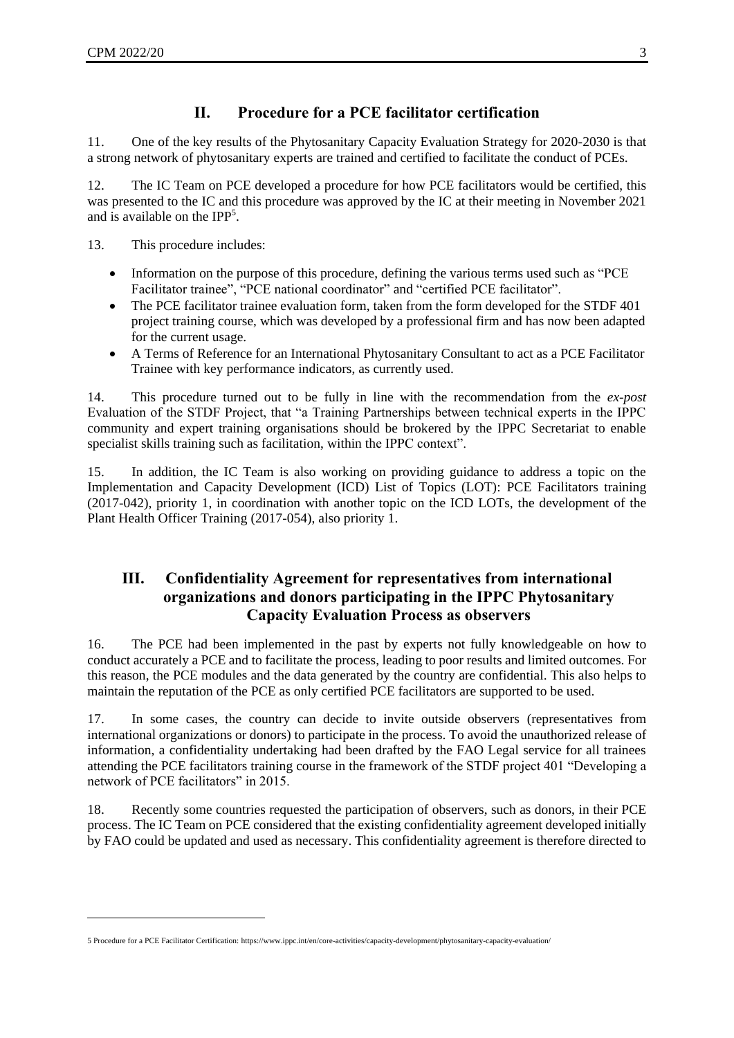1

## **II. Procedure for a PCE facilitator certification**

11. One of the key results of the Phytosanitary Capacity Evaluation Strategy for 2020-2030 is that a strong network of phytosanitary experts are trained and certified to facilitate the conduct of PCEs.

12. The IC Team on PCE developed a procedure for how PCE facilitators would be certified, this was presented to the IC and this procedure was approved by the IC at their meeting in November 2021 and is available on the IPP<sup>5</sup>.

13. This procedure includes:

- Information on the purpose of this procedure, defining the various terms used such as "PCE Facilitator trainee", "PCE national coordinator" and "certified PCE facilitator".
- The PCE facilitator trainee evaluation form, taken from the form developed for the STDF 401 project training course, which was developed by a professional firm and has now been adapted for the current usage.
- A Terms of Reference for an International Phytosanitary Consultant to act as a PCE Facilitator Trainee with key performance indicators, as currently used.

14. This procedure turned out to be fully in line with the recommendation from the *ex-post* Evaluation of the STDF Project, that "a Training Partnerships between technical experts in the IPPC community and expert training organisations should be brokered by the IPPC Secretariat to enable specialist skills training such as facilitation, within the IPPC context".

15. In addition, the IC Team is also working on providing guidance to address a topic on the Implementation and Capacity Development (ICD) List of Topics (LOT): PCE Facilitators training (2017-042), priority 1, in coordination with another topic on the ICD LOTs, the development of the Plant Health Officer Training (2017-054), also priority 1.

#### **III. Confidentiality Agreement for representatives from international organizations and donors participating in the IPPC Phytosanitary Capacity Evaluation Process as observers**

16. The PCE had been implemented in the past by experts not fully knowledgeable on how to conduct accurately a PCE and to facilitate the process, leading to poor results and limited outcomes. For this reason, the PCE modules and the data generated by the country are confidential. This also helps to maintain the reputation of the PCE as only certified PCE facilitators are supported to be used.

17. In some cases, the country can decide to invite outside observers (representatives from international organizations or donors) to participate in the process. To avoid the unauthorized release of information, a confidentiality undertaking had been drafted by the FAO Legal service for all trainees attending the PCE facilitators training course in the framework of the STDF project 401 "Developing a network of PCE facilitators" in 2015.

18. Recently some countries requested the participation of observers, such as donors, in their PCE process. The IC Team on PCE considered that the existing confidentiality agreement developed initially by FAO could be updated and used as necessary. This confidentiality agreement is therefore directed to

<sup>5</sup> Procedure for a PCE Facilitator Certification[: https://www.ippc.int/en/core-activities/capacity-development/phytosanitary-capacity-evaluation/](https://www.ippc.int/en/core-activities/capacity-development/phytosanitary-capacity-evaluation/)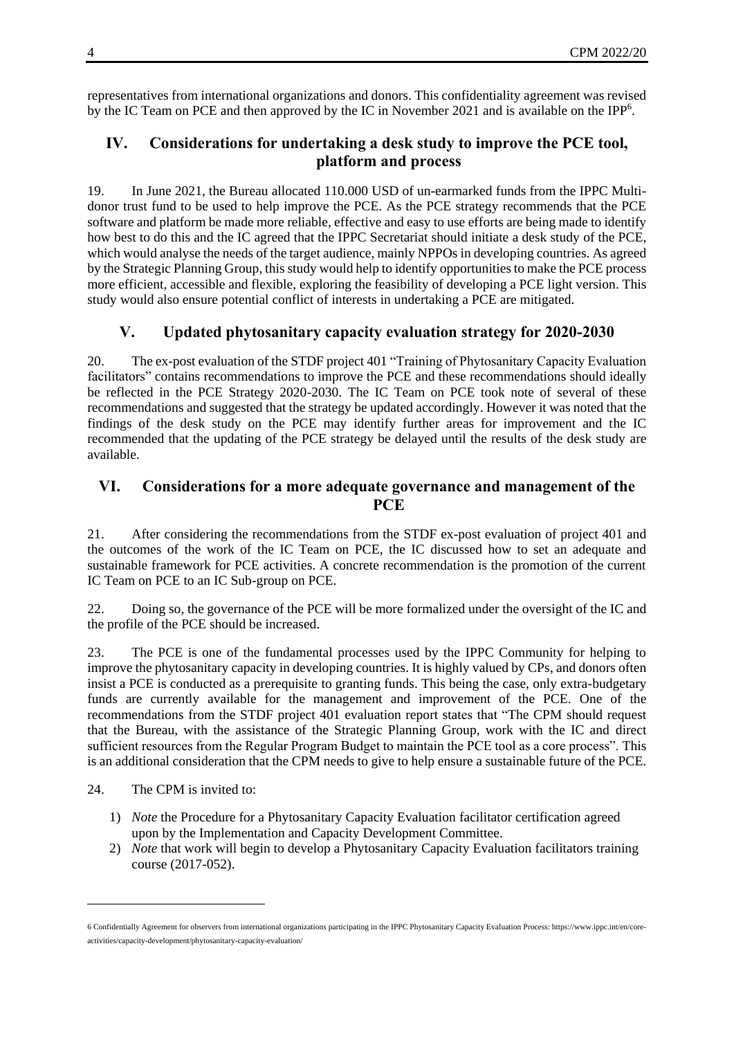representatives from international organizations and donors. This confidentiality agreement was revised by the IC Team on PCE and then approved by the IC in November 2021 and is available on the IPP<sup>6</sup>.

#### **IV. Considerations for undertaking a desk study to improve the PCE tool, platform and process**

19. In June 2021, the Bureau allocated 110.000 USD of un-earmarked funds from the IPPC Multidonor trust fund to be used to help improve the PCE. As the PCE strategy recommends that the PCE software and platform be made more reliable, effective and easy to use efforts are being made to identify how best to do this and the IC agreed that the IPPC Secretariat should initiate a desk study of the PCE, which would analyse the needs of the target audience, mainly NPPOs in developing countries. As agreed by the Strategic Planning Group, this study would help to identify opportunities to make the PCE process more efficient, accessible and flexible, exploring the feasibility of developing a PCE light version. This study would also ensure potential conflict of interests in undertaking a PCE are mitigated.

### **V. Updated phytosanitary capacity evaluation strategy for 2020-2030**

20. The ex-post evaluation of the STDF project 401 "Training of Phytosanitary Capacity Evaluation facilitators" contains recommendations to improve the PCE and these recommendations should ideally be reflected in the PCE Strategy 2020-2030. The IC Team on PCE took note of several of these recommendations and suggested that the strategy be updated accordingly. However it was noted that the findings of the desk study on the PCE may identify further areas for improvement and the IC recommended that the updating of the PCE strategy be delayed until the results of the desk study are available.

#### **VI. Considerations for a more adequate governance and management of the PCE**

21. After considering the recommendations from the STDF ex-post evaluation of project 401 and the outcomes of the work of the IC Team on PCE, the IC discussed how to set an adequate and sustainable framework for PCE activities. A concrete recommendation is the promotion of the current IC Team on PCE to an IC Sub-group on PCE.

22. Doing so, the governance of the PCE will be more formalized under the oversight of the IC and the profile of the PCE should be increased.

23. The PCE is one of the fundamental processes used by the IPPC Community for helping to improve the phytosanitary capacity in developing countries. It is highly valued by CPs, and donors often insist a PCE is conducted as a prerequisite to granting funds. This being the case, only extra-budgetary funds are currently available for the management and improvement of the PCE. One of the recommendations from the STDF project 401 evaluation report states that "The CPM should request that the Bureau, with the assistance of the Strategic Planning Group, work with the IC and direct sufficient resources from the Regular Program Budget to maintain the PCE tool as a core process". This is an additional consideration that the CPM needs to give to help ensure a sustainable future of the PCE.

24. The CPM is invited to:

-

- 1) *Note* the Procedure for a Phytosanitary Capacity Evaluation facilitator certification agreed upon by the Implementation and Capacity Development Committee.
- 2) *Note* that work will begin to develop a Phytosanitary Capacity Evaluation facilitators training course (2017-052).

<sup>6</sup> Confidentially Agreement for observers from international organizations participating in the IPPC Phytosanitary Capacity Evaluation Process[: https://www.ippc.int/en/core](https://www.ippc.int/en/core-activities/capacity-development/phytosanitary-capacity-evaluation/)[activities/capacity-development/phytosanitary-capacity-evaluation/](https://www.ippc.int/en/core-activities/capacity-development/phytosanitary-capacity-evaluation/)